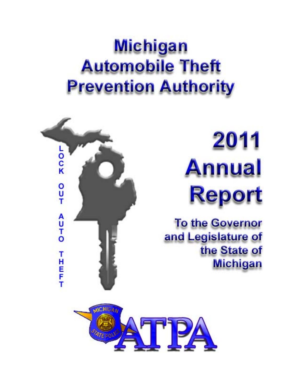# **Michigan Automobile Theft Prevention Authority**



# 2011 **Annual Report**

**To the Governor** and Legislature of the State of **Michigan** 

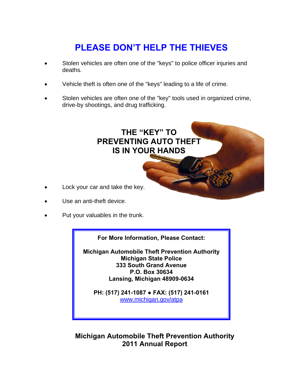## **PLEASE DON'T HELP THE THIEVES**

- Stolen vehicles are often one of the "keys" to police officer injuries and deaths.
- Vehicle theft is often one of the "keys" leading to a life of crime.
- Stolen vehicles are often one of the "key" tools used in organized crime, drive-by shootings, and drug trafficking.



- Lock your car and take the key.
- Use an anti-theft device.
- Put your valuables in the trunk.

**For More Information, Please Contact:** 

**Michigan Automobile Theft Prevention Authority Michigan State Police 333 South Grand Avenue P.O. Box 30634 Lansing, Michigan 48909-0634** 

**PH: (517) 241-1087 ● FAX: (517) 241-0161**  www.michigan.gov/atpa

### **Michigan Automobile Theft Prevention Authority 2011 Annual Report**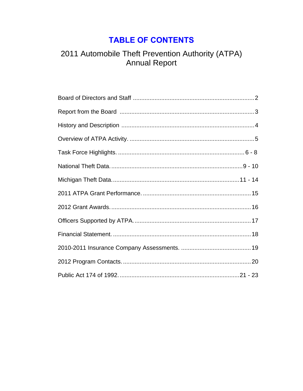## **TABLE OF CONTENTS**

# 2011 Automobile Theft Prevention Authority (ATPA)<br>Annual Report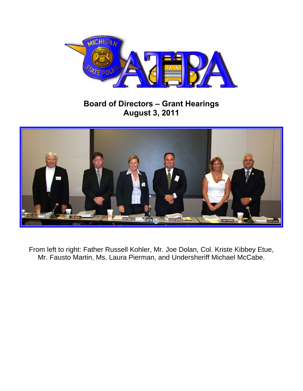

## **Board of Directors – Grant Hearings August 3, 2011**



From left to right: Father Russell Kohler, Mr. Joe Dolan, Col. Kriste Kibbey Etue, Mr. Fausto Martin, Ms. Laura Pierman, and Undersheriff Michael McCabe.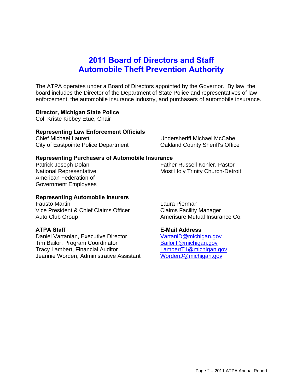## **2011 Board of Directors and Staff Automobile Theft Prevention Authority**

The ATPA operates under a Board of Directors appointed by the Governor. By law, the board includes the Director of the Department of State Police and representatives of law enforcement, the automobile insurance industry, and purchasers of automobile insurance.

#### **Director, Michigan State Police**

Col. Kriste Kibbey Etue, Chair

#### **Representing Law Enforcement Officials**

Chief Michael Lauretti Undersheriff Michael McCabe City of Eastpointe Police Department Oakland County Sheriff's Office

#### **Representing Purchasers of Automobile Insurance**

American Federation of Government Employees

Patrick Joseph Dolan Father Russell Kohler, Pastor National Representative Most Holy Trinity Church-Detroit

#### **Representing Automobile Insurers**

Fausto Martin Laura Pierman Vice President & Chief Claims Officer Claims Facility Manager Auto Club Group **Amerisure Mutual Insurance Co.** 

Daniel Vartanian, Executive Director VartaniD@michigan.gov Tim Bailor, Program Coordinator BailorT@michigan.gov Tracy Lambert, Financial Auditor<br>Jeannie Worden, Administrative Assistant WordenJ@michigan.gov Jeannie Worden, Administrative Assistant

#### **ATPA Staff E-Mail Address**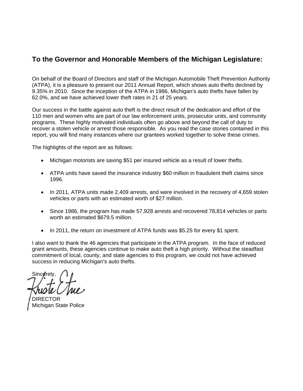### **To the Governor and Honorable Members of the Michigan Legislature:**

On behalf of the Board of Directors and staff of the Michigan Automobile Theft Prevention Authority (ATPA), it is a pleasure to present our 2011 Annual Report, which shows auto thefts declined by 9.35% in 2010. Since the inception of the ATPA in 1986, Michigan's auto thefts have fallen by 62.0%, and we have achieved lower theft rates in 21 of 25 years.

Our success in the battle against auto theft is the direct result of the dedication and effort of the 110 men and women who are part of our law enforcement units, prosecutor units, and community programs. These highly motivated individuals often go above and beyond the call of duty to recover a stolen vehicle or arrest those responsible. As you read the case stories contained in this report, you will find many instances where our grantees worked together to solve these crimes.

The highlights of the report are as follows:

- Michigan motorists are saving \$51 per insured vehicle as a result of lower thefts.
- ATPA units have saved the insurance industry \$60 million in fraudulent theft claims since 1996.
- In 2011, ATPA units made 2,409 arrests, and were involved in the recovery of 4,659 stolen vehicles or parts with an estimated worth of \$27 million.
- Since 1986, the program has made 57,928 arrests and recovered 78,814 vehicles or parts worth an estimated \$679.5 million.
- In 2011, the return on investment of ATPA funds was \$5.25 for every \$1 spent.

I also want to thank the 46 agencies that participate in the ATPA program. In the face of reduced grant amounts, these agencies continue to make auto theft a high priority. Without the steadfast commitment of local, county, and state agencies to this program, we could not have achieved success in reducing Michigan's auto thefts.

Sincerely

TOR Michigan State Police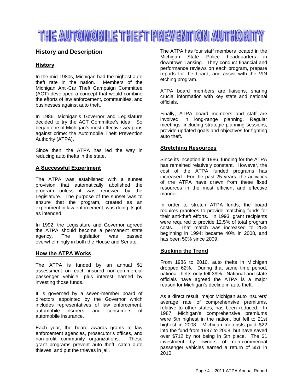## THE AUTOMOBILE THEFT PREVENTION AUTHORITY

#### **History and Description**

#### **History**

In the mid-1980s, Michigan had the highest auto theft rate in the nation. Members of the Michigan Anti-Car Theft Campaign Committee (ACT) developed a concept that would combine the efforts of law enforcement, communities, and businesses against auto theft.

In 1986, Michigan's Governor and Legislature decided to try the ACT Committee's idea. So began one of Michigan's most effective weapons against crime: the Automobile Theft Prevention Authority (ATPA).

Since then, the ATPA has led the way in reducing auto thefts in the state.

#### **A Successful Experiment**

The ATPA was established with a sunset provision that automatically abolished the program unless it was renewed by the Legislature. The purpose of the sunset was to ensure that the program, created as an experiment in law enforcement, was doing its job as intended.

In 1992, the Legislature and Governor agreed the ATPA should become a permanent state agency. The legislation was passed overwhelmingly in both the House and Senate.

#### **How the ATPA Works**

The ATPA is funded by an annual \$1 assessment on each insured non-commercial passenger vehicle, plus interest earned by investing those funds.

It is governed by a seven-member board of directors appointed by the Governor which includes representatives of law enforcement, automobile insurers, and consumers of automobile insurance.

Each year, the board awards grants to law enforcement agencies, prosecutor's offices, and non-profit community organizations. These grant programs prevent auto theft, catch auto thieves, and put the thieves in jail.

The ATPA has four staff members located in the Michigan State Police headquarters in downtown Lansing. They conduct financial and performance reviews on each program, prepare reports for the board, and assist with the VIN etching program.

ATPA board members are liaisons, sharing crucial information with key state and national officials.

Finally, ATPA board members and staff are involved in long-range planning. Regular meetings, including strategic planning sessions, provide updated goals and objectives for fighting auto theft.

#### **Stretching Resources**

Since its inception in 1986, funding for the ATPA has remained relatively constant. However, the cost of the ATPA funded programs has increased. For the past 25 years, the activities of the ATPA have drawn from these fixed resources in the most efficient and effective manner.

In order to stretch ATPA funds, the board requires grantees to provide matching funds for their anti-theft efforts. In 1993, grant recipients were required to provide 12.5% of total program costs. That match was increased to 25% beginning in 1994; became 40% in 2008, and has been 50% since 2009.

#### **Bucking the Trend**

From 1986 to 2010, auto thefts in Michigan dropped 62%. During that same time period, national thefts only fell 39%. National and state officials have agreed the ATPA is a major reason for Michigan's decline in auto theft.

As a direct result, major Michigan auto insurers' average rate of comprehensive premiums, relative to other states, has been reduced. In 1987, Michigan's comprehensive premiums were 5th highest in the nation, but fell to 21st highest in 2008. Michigan motorists paid \$22 into the fund from 1987 to 2008, but have saved over \$712 by not being in 5th place. The \$1 investment by owners of non-commercial passenger vehicles earned a return of \$51 in 2010.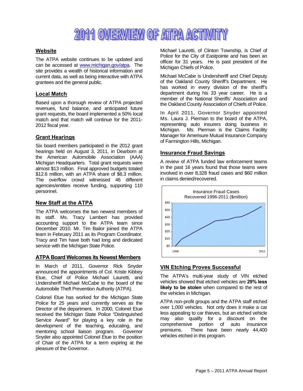## 2011 OVERVIEW OF ATPA ACTIVITY

#### **Website**

The ATPA website continues to be updated and can be accessed at www.michigan.gov/atpa. The site provides a wealth of historical information and current data, as well as being interactive with ATPA grantees and the general public.

#### **Local Match**

Based upon a thorough review of ATPA projected revenues, fund balance, and anticipated future grant requests, the board implemented a 50% local match and that match will continue for the 2011- 2012 fiscal year.

#### **Grant Hearings**

Six board members participated in the 2012 grant hearings held on August 3, 2011, in Dearborn at the American Automobile Association (AAA) Michigan Headquarters. Total grant requests were almost \$13 million. Final approved budgets totaled \$12.6 million, with an ATPA share of \$6.3 million. The overflow crowd witnessed 46 different agencies/entities receive funding, supporting 110 personnel.

#### **New Staff at the ATPA**

The ATPA welcomes the two newest members of its staff. Ms. Tracy Lambert has provided accounting support to the ATPA team since December 2010. Mr. Tim Bailor joined the ATPA team in February 2011 as its Program Coordinator. Tracy and Tim have both had long and dedicated service with the Michigan State Police.

#### **ATPA Board Welcomes its Newest Members**

In March of 2011, Governor Rick Snyder announced the appointments of Col. Kriste Kibbey Etue, Chief of Police Michael Lauretti, and Undersheriff Michael McCabe to the board of the Automobile Theft Prevention Authority (ATPA).

Colonel Etue has worked for the Michigan State Police for 25 years and currently serves as the Director of the department. In 2000, Colonel Etue received the Michigan State Police "Distinguished Service Award" for playing a key role in the development of the teaching, educating, and mentoring school liaison program. Governor Snyder also appointed Colonel Etue to the position of Chair of the ATPA for a term expiring at the pleasure of the Governor.

Michael Lauretti, of Clinton Township, is Chief of Police for the City of Eastpointe and has been an officer for 31 years. He is past president of the Michigan Chiefs of Police.

Michael McCabe is Undersheriff and Chief Deputy of the Oakland County Sheriff's Department. He has worked in every division of the sheriff's department during his 33 year career. He is a member of the National Sheriffs' Association and the Oakland County Association of Chiefs of Police.

In April 2011, Governor Snyder appointed Ms. Laura J. Pierman to the board of the ATPA, representing auto insurers doing business in Michigan. Ms. Pierman is the Claims Facility Manager for Amerisure Mutual Insurance Company of Farmington Hills, Michigan.

#### **Insurance Fraud Savings**

A review of ATPA funded law enforcement teams in the past 16 years found that those teams were involved in over 8,328 fraud cases and \$60 million in claims denied/recovered.



#### **VIN Etching Proves Successful**

The ATPA's multi-year study of VIN etched vehicles showed that etched vehicles are **29% less likely to be stolen** when compared to the rest of the vehicles in Michigan.

ATPA non-profit groups and the ATPA staff etched over 1,000 vehicles. Not only does it make a car less appealing to car thieves, but an etched vehicle may also qualify for a discount on the comprehensive portion of auto insurance premiums. There have been nearly 44,400 vehicles etched in this program.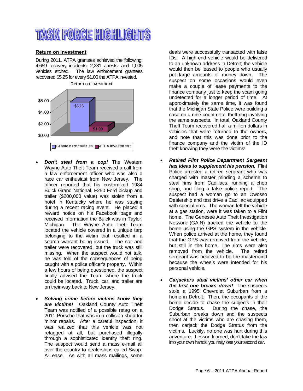## TASK FORCE HIGHLIGHTS

#### **Return on Investment**

During 2011, ATPA grantees achieved the following: 4,659 recovery incidents; 2,281 arrests; and 1,005 vehicles etched. The law enforcement grantees recovered \$5.25 for every \$1.00 the ATPA invested.



- *Don't steal from a cop!* The Western Wayne Auto Theft Team received a call from a law enforcement officer who was also a race car enthusiast from New Jersey. The officer reported that his customized 1984 Buick Grand National, F250 Ford pickup and trailer (\$200,000 value) was stolen from a hotel in Kentucky where he was staying during a recent racing event. He placed a reward notice on his Facebook page and received information the Buick was in Taylor, Michigan. The Wayne Auto Theft Team located the vehicle covered in a unique tarp belonging to the victim that resulted in a search warrant being issued. The car and trailer were recovered, but the truck was still missing. When the suspect would not talk, he was told of the consequences of being caught with a police officer's property. Within a few hours of being questioned, the suspect finally advised the Team where the truck could be located. Truck, car, and trailer are on their way back to New Jersey.
- *Solving crime before victims know they are victims!* Oakland County Auto Theft Team was notified of a possible retag on a 2011 Porsche that was in a collision shop for minor repairs. After a careful inspection, it was realized that this vehicle was not retagged at all, but purchased illegally through a sophisticated identity theft ring. The suspect would send a mass e-mail all over the country to dealerships called Swap-A-Lease. As with all mass mailings, some

deals were successfully transacted with false IDs. A high-end vehicle would be delivered to an unknown address in Detroit; the vehicle would then be leased to people who usually put large amounts of money down. The suspect on some occasions would even make a couple of lease payments to the finance company just to keep the scam going undetected for a longer period of time. At approximately the same time, it was found that the Michigan State Police were building a case on a nine-count retail theft ring involving the same suspects. In total, Oakland County Theft Team recovered half a million dollars in vehicles that were returned to the owners, and note that this was done prior to the finance company and the victim of the ID theft knowing they were the victims!

- *Retired Flint Police Department Sergeant has ideas to supplement his pension.* Flint Police arrested a retired sergeant who was charged with master minding a scheme to steal rims from Cadillacs, running a chop shop, and filing a false police report. The suspect had a woman go to an Owosso Dealership and test drive a Cadillac equipped with special rims. The woman left the vehicle at a gas station, were it was taken to a Flint home. The Genesee Auto Theft Investigation Network (GAIN) tracked the vehicle to the home using the GPS system in the vehicle. When police arrived at the home, they found that the GPS was removed from the vehicle, but still in the home. The rims were also removed from the vehicle. The retired sergeant was believed to be the mastermind because the wheels were intended for his personal vehicle.
- *Carjackers steal victims' other car when the first one breaks down!* The suspects stole a 1995 Chevrolet Suburban from a home in Detroit. Then, the occupants of the home decide to chase the subjects in their Dodge Stratus. During the chase, the Suburban breaks down and the suspects shoot at the victims who are chasing them, then carjack the Dodge Stratus from the victims. Luckily, no one was hurt during this adventure. Lesson learned, don't take the law into your own hands, you may lose your second car.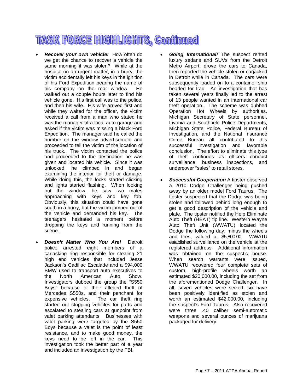## **TASK FORCE HIGHLIGHTS, Continued**

- *Recover your own vehicle!* How often do we get the chance to recover a vehicle the same morning it was stolen? While at the hospital on an urgent matter, in a hurry, the victim accidentally left his keys in the ignition of his Ford Expedition bearing the name of his company on the rear window. He walked out a couple hours later to find his vehicle gone. His first call was to the police, and then his wife. His wife arrived first and while they waited for the officer, the victim received a call from a man who stated he was the manager of a local auto garage and asked if the victim was missing a black Ford Expedition. The manager said he called the number on the window advertisement and proceeded to tell the victim of the location of his truck. The victim contacted the police and proceeded to the destination he was given and located his vehicle. Since it was unlocked, he climbed in and began examining the interior for theft or damage. While doing this, the locks started clicking and lights started flashing. When looking out the window, he saw two males approaching with keys and key fob. Obviously, this situation could have gone south in a hurry, but the victim jumped out of the vehicle and demanded his key. The teenagers hesitated a moment before dropping the keys and running from the scene.
- *Doesn't Matter Who You Are!* Detroit police arrested eight members of a carjacking ring responsible for stealing 21 high end vehicles that included Jesse Jackson's Cadillac Escalade and a \$94,000 BMW used to transport auto executives to the North American Auto Show. Investigators dubbed the group the "S550 Boys" because of their alleged theft of Mercedes S550s, and their penchant for expensive vehicles. The car theft ring started out stripping vehicles for parts and escalated to stealing cars at gunpoint from valet parking attendants. Businesses with valet parking were targeted by the S550 Boys because a valet is the point of least resistance, and to make good money, the keys need to be left in the car. This keys need to be left in the car. investigation took the better part of a year and included an investigation by the FBI.
- *Going International!* The suspect rented luxury sedans and SUVs from the Detroit Metro Airport, drove the cars to Canada, then reported the vehicle stolen or carjacked in Detroit while in Canada. The cars were subsequently loaded on to a container ship headed for Iraq. An investigation that has taken several years finally led to the arrest of 13 people wanted in an international car theft operation. The scheme was dubbed Operation Hot Wheels by authorities. Michigan Secretary of State personnel, Livonia and Southfield Police Departments, Michigan State Police, Federal Bureau of Investigation, and the National Insurance Crime Bureau all contributed to this successful investigation and favorable conclusion. The effort to eliminate this type of theft continues as officers conduct surveillance, business inspections, and undercover "sales" to retail stores.
- *Successful Cooperation* A tipster observed a 2010 Dodge Challenger being pushed away by an older model Ford Taurus. The tipster suspected that the Dodge was being stolen and followed behind long enough to get a good description of the vehicle and plate. The tipster notified the Help Eliminate Auto Theft (HEAT) tip line. Western Wayne Auto Theft Unit (WWATU) located the Dodge the following day, minus the wheels and tires, valued at \$5,800.00. WWATU established surveillance on the vehicle at the registered address. Additional information was obtained on the suspect's house. When search warrants were issued, WWATU recovered four complete sets of custom, high-profile wheels worth an estimated \$20,000.00, including the set from the aforementioned Dodge Challenger. In all, seven vehicles were seized; six have been positively identified as stolen and worth an estimated \$42,000.00, including the suspect's Ford Taurus. Also recovered were three .40 caliber semi-automatic weapons and several ounces of marijuana packaged for delivery.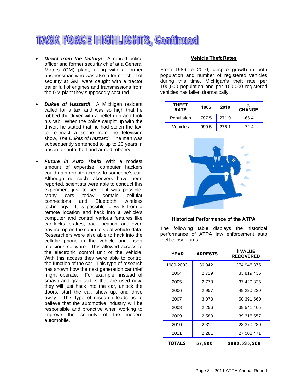## **TASK FORCE HIGHLIGHTS, Continued**

- *Direct from the factory!* A retired police officer and former security chief at a General Motors (GM) plant, along with a former businessman who was also a former chief of security at GM, were caught with a tractor trailer full of engines and transmissions from the GM plant they supposedly secured.
- *Dukes of Hazzard!* A Michigan resident called for a taxi and was so high that he robbed the driver with a pellet gun and took his cab. When the police caught up with the driver, he stated that he had stolen the taxi to re-enact a scene from the television show, *The Dukes of Hazzard*. The man was subsequently sentenced to up to 20 years in prison for auto theft and armed robbery.
- *Future in Auto Theft!* With a modest amount of expertise, computer hackers could gain remote access to someone's car. Although no such takeovers have been reported, scientists were able to conduct this experiment just to see if it was possible. Many cars today contain cellular<br>connections and Bluetooth wireless connections and technology. It is possible to work from a remote location and hack into a vehicle's computer and control various features like car locks, brakes, track location, and even eavesdrop on the cabin to steal vehicle data. Researchers were also able to hack into the cellular phone in the vehicle and insert malicious software. This allowed access to the electronic control unit of the vehicle. With this access they were able to control the function of the car. This type of research has shown how the next generation car thief might operate. For example, instead of smash and grab tactics that are used now, they will just hack into the car, unlock the doors, start the car, show up, and drive away. This type of research leads us to believe that the automotive industry will be responsible and proactive when working to improve the security of the modern automobile.

#### **Vehicle Theft Rates**

From 1986 to 2010, despite growth in both population and number of registered vehicles during this time, Michigan's theft rate per 100,000 population and per 100,000 registered vehicles has fallen dramatically.

| <b>THEFT</b><br><b>RATE</b> | 1986  | 2010  | %<br><b>CHANGE</b> |
|-----------------------------|-------|-------|--------------------|
| Population                  | 787.5 | 271.9 | $-65.4$            |
| Vehicles                    | 999.5 | 276.1 | $-72.4$            |



#### **Historical Performance of the ATPA**

The following table displays the historical performance of ATPA law enforcement auto theft consortiums.

| <b>YEAR</b> | <b>ARRESTS</b> | \$ VALUE<br><b>RECOVERED</b> |
|-------------|----------------|------------------------------|
| 1989-2003   | 36,842         | 374,946,375                  |
| 2004        | 2,719          | 33,819,435                   |
| 2005        | 2,778          | 37,420,835                   |
| 2006        | 2,957          | 49,220,230                   |
| 2007        | 3,073          | 50,391,560                   |
| 2008        | 2,256          | 39,541,465                   |
| 2009        | 2,583          | 39,316,557                   |
| 2010        | 2,311          | 28,370,280                   |
| 2011        | 2,281          | 27,508,471                   |
| TOTALS      | 57,800         | \$680,535,208                |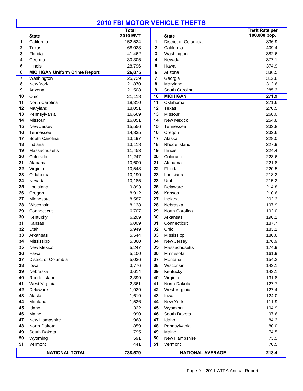|              | <b>2010 FBI MOTOR VEHICLE THEFTS</b> |                  |              |                            |                       |  |  |
|--------------|--------------------------------------|------------------|--------------|----------------------------|-----------------------|--|--|
|              |                                      | <b>Total</b>     |              |                            | <b>Theft Rate per</b> |  |  |
|              | <b>State</b>                         | <b>2010 MVT</b>  |              | <b>State</b>               | 100,000 pop.          |  |  |
| 1            | California                           | 152,524          | 1            | District of Columbia       | 836.9                 |  |  |
| $\mathbf{2}$ | Texas                                | 68,023           | $\mathbf{2}$ | California                 | 409.4                 |  |  |
| 3            | Florida                              | 41,462           | 3            | Washington                 | 382.6                 |  |  |
| 4            | Georgia                              | 30,305           | 4            | Nevada                     | 377.1                 |  |  |
| 5            | Illinois                             | 28,796           | 5            | Hawaii                     | 374.9                 |  |  |
| 6            | <b>MICHIGAN Uniform Crime Report</b> | 26,875           | 6            | Arizona                    | 336.5                 |  |  |
| 7            | Washington                           | 25,729           | 7            | Georgia                    | 312.8                 |  |  |
| 8<br>9       | New York<br>Arizona                  | 21,870<br>21,508 | 8<br>9       | Maryland<br>South Carolina | 312.6<br>285.3        |  |  |
| 10           | Ohio                                 |                  | 10           | <b>MICHIGAN</b>            | 271.9                 |  |  |
| 11           | North Carolina                       | 21,118<br>18,310 | 11           | Oklahoma                   | 271.6                 |  |  |
| 12           | Maryland                             | 18,051           | 12           | Texas                      | 270.5                 |  |  |
| 13           | Pennsylvania                         | 16,669           | 13           | Missouri                   | 268.0                 |  |  |
| 14           | Missouri                             | 16,051           | 14           | New Mexico                 | 254.8                 |  |  |
| 15           | New Jersey                           | 15,556           | 15           | Tennessee                  | 233.8                 |  |  |
| 16           | Tennessee                            | 14,835           | 16           | Oregon                     | 232.6                 |  |  |
| 17           | South Carolina                       | 13,197           | 17           | Alaska                     | 228.0                 |  |  |
| 18           | Indiana                              | 13,118           | 18           | Rhode Island               | 227.9                 |  |  |
| 19           | Massachusetts                        | 11,453           | 19           | Illinois                   | 224.4                 |  |  |
| 20           | Colorado                             | 11,247           | 20           | Colorado                   | 223.6                 |  |  |
| 21           | Alabama                              | 10,600           | 21           | Alabama                    | 221.8                 |  |  |
| 22           | Virginia                             | 10,548           | 22           | Florida                    | 220.5                 |  |  |
| 23           | Oklahoma                             | 10,190           | 23           | Louisiana                  | 218.2                 |  |  |
| 24           | Nevada                               | 10,185           | 23           | Utah                       | 215.2                 |  |  |
| 25           | Louisiana                            | 9,893            | 25           | Delaware                   | 214.8                 |  |  |
| 26           | Oregon                               | 8,912            | 26           | Kansas                     | 210.6                 |  |  |
| 27           | Minnesota                            | 8,587            | 27           | Indiana                    | 202.3                 |  |  |
| 28           | Wisconsin                            | 8,138            | 28           | Nebraska                   | 197.9                 |  |  |
| 29           | Connecticut                          | 6,707            | 29           | North Carolina             | 192.0                 |  |  |
| 30           | Kentucky                             | 6,209            | 30           | Arkansas                   | 190.1                 |  |  |
| 31           | Kansas                               | 6,009            | 31           | Connecticut                | 187.7                 |  |  |
| 32           | Utah                                 | 5,949            | 32           | Ohio                       | 183.1                 |  |  |
| 33           | Arkansas                             | 5,544            | 33           | Mississippi                | 180.6                 |  |  |
| 34           | Mississippi                          | 5,360            | 34           | New Jersey                 | 176.9                 |  |  |
| 35<br>36     | New Mexico<br>Hawaii                 | 5,247<br>5,100   | 35<br>36     | Massachusetts<br>Minnesota | 174.9<br>161.9        |  |  |
| 37           | District of Columbia                 | 5,036            | 37           | Montana                    | 154.2                 |  |  |
| 38           | Iowa                                 | 3,776            | 38           | Wisconsin                  | 143.1                 |  |  |
| 39           | Nebraska                             | 3,614            | 39           | Kentucky                   | 143.1                 |  |  |
| 40           | Rhode Island                         | 2,399            | 40           | Virginia                   | 131.8                 |  |  |
| 41           | West Virginia                        | 2,361            | 41           | North Dakota               | 127.7                 |  |  |
| 42           | Delaware                             | 1,929            | 42           | West Virginia              | 127.4                 |  |  |
| 43           | Alaska                               | 1,619            | 43           | lowa                       | 124.0                 |  |  |
| 44           | Montana                              | 1,526            | 44           | New York                   | 111.9                 |  |  |
| 45           | Idaho                                | 1,322            | 45           | Wyoming                    | 104.9                 |  |  |
| 46           | Maine                                | 990              | 46           | South Dakota               | 97.6                  |  |  |
| 47           | New Hampshire                        | 968              | 47           | Idaho                      | 84.3                  |  |  |
| 48           | North Dakota                         | 859              | 48           | Pennsylvania               | 80.0                  |  |  |
| 49           | South Dakota                         | 795              | 49           | Maine                      | 74.5                  |  |  |
| 50           | Wyoming                              | 591              | 50           | New Hampshire              | 73.5                  |  |  |
| 51           | Vermont                              | 441              | 51           | Vermont                    | 70.5                  |  |  |
|              | <b>NATIONAL TOTAL</b>                | 738,579          |              | <b>NATIONAL AVERAGE</b>    | 218.4                 |  |  |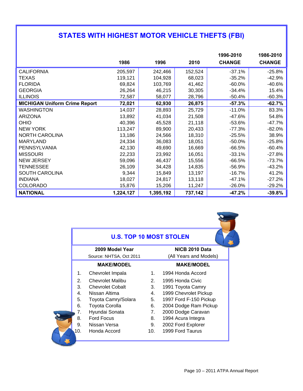## **STATES WITH HIGHEST MOTOR VEHICLE THEFTS (FBI)**

|                                      |           |           |         | 1996-2010     | 1986-2010     |
|--------------------------------------|-----------|-----------|---------|---------------|---------------|
|                                      | 1986      | 1996      | 2010    | <b>CHANGE</b> | <b>CHANGE</b> |
| <b>CALIFORNIA</b>                    | 205,597   | 242,466   | 152,524 | $-37.1%$      | $-25.8%$      |
| <b>TEXAS</b>                         | 119,121   | 104,928   | 68,023  | $-35.2%$      | $-42.9%$      |
| <b>FLORIDA</b>                       | 69,824    | 103,769   | 41,462  | $-60.0%$      | $-40.6%$      |
| <b>GEORGIA</b>                       | 26,264    | 46,215    | 30,305  | $-34.4%$      | 15.4%         |
| <b>ILLINOIS</b>                      | 72,587    | 58,077    | 28,796  | $-50.4%$      | $-60.3%$      |
| <b>MICHIGAN Uniform Crime Report</b> | 72,021    | 62,930    | 26,875  | $-57.3%$      | $-62.7%$      |
| <b>WASHINGTON</b>                    | 14,037    | 28,893    | 25,729  | $-11.0%$      | 83.3%         |
| <b>ARIZONA</b>                       | 13,892    | 41,034    | 21,508  | $-47.6%$      | 54.8%         |
| OHIO                                 | 40,396    | 45,528    | 21,118  | $-53.6%$      | $-47.7%$      |
| <b>NEW YORK</b>                      | 113,247   | 89,900    | 20,433  | $-77.3%$      | $-82.0%$      |
| <b>NORTH CAROLINA</b>                | 13,186    | 24,566    | 18,310  | $-25.5%$      | 38.9%         |
| <b>MARYLAND</b>                      | 24,334    | 36,083    | 18,051  | $-50.0%$      | $-25.8%$      |
| PENNSYLVANIA                         | 42,130    | 49,690    | 16,669  | $-66.5%$      | $-60.4%$      |
| <b>MISSOURI</b>                      | 22,233    | 23,992    | 16,051  | $-33.1%$      | $-27.8%$      |
| <b>NEW JERSEY</b>                    | 59,096    | 46,437    | 15,556  | $-66.5%$      | $-73.7%$      |
| <b>TENNESSEE</b>                     | 26,109    | 34,428    | 14,835  | $-56.9%$      | $-43.2%$      |
| SOUTH CAROLINA                       | 9,344     | 15,849    | 13,197  | -16.7%        | 41.2%         |
| <b>INDIANA</b>                       | 18,027    | 24,817    | 13,118  | $-47.1%$      | $-27.2%$      |
| <b>COLORADO</b>                      | 15,876    | 15,206    | 11,247  | $-26.0%$      | $-29.2%$      |
| <b>NATIONAL</b>                      | 1,224,127 | 1,395,192 | 737,142 | $-47.2%$      | $-39.8%$      |

|     | <b>U.S. TOP 10 MOST STOLEN</b> |         |                        |  |  |  |  |  |
|-----|--------------------------------|---------|------------------------|--|--|--|--|--|
|     | 2009 Model Year                |         | NICB 2010 Data         |  |  |  |  |  |
|     | Source: NHTSA, Oct 2011        |         | (All Years and Models) |  |  |  |  |  |
|     | <b>MAKE/MODEL</b>              |         | <b>MAKE/MODEL</b>      |  |  |  |  |  |
| 1.  | Chevrolet Impala               | $1_{-}$ | 1994 Honda Accord      |  |  |  |  |  |
| 2.  | <b>Chevrolet Malibu</b>        | 2.      | 1995 Honda Civic       |  |  |  |  |  |
| 3.  | <b>Chevrolet Cobalt</b>        | 3.      | 1991 Toyota Camry      |  |  |  |  |  |
| 4.  | Nissan Altima                  | 4.      | 1999 Chevrolet Pickup  |  |  |  |  |  |
| 5.  | Toyota Camry/Solara            | 5.      | 1997 Ford F-150 Pickup |  |  |  |  |  |
| 6.  | <b>Toyota Corolla</b>          | 6.      | 2004 Dodge Ram Pickup  |  |  |  |  |  |
| 7.  | Hyundai Sonata                 | 7.      | 2000 Dodge Caravan     |  |  |  |  |  |
| 8.  | <b>Ford Focus</b>              | 8.      | 1994 Acura Integra     |  |  |  |  |  |
| 9.  | Nissan Versa                   | 9.      | 2002 Ford Explorer     |  |  |  |  |  |
| 10. | Honda Accord                   | 10.     | 1999 Ford Taurus       |  |  |  |  |  |

 $\overline{\mathbf{C}}$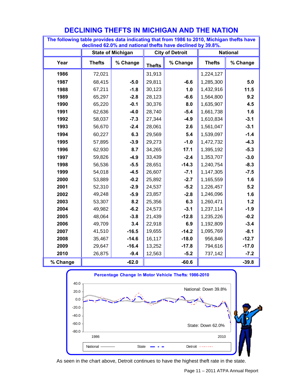| riaco autu murouting thut nom To<br>declined 62.0% and national thefts have declined by 39.8%. |               |                          |               |                        |               |                 |  |  |  |
|------------------------------------------------------------------------------------------------|---------------|--------------------------|---------------|------------------------|---------------|-----------------|--|--|--|
|                                                                                                |               | <b>State of Michigan</b> |               | <b>City of Detroit</b> |               | <b>National</b> |  |  |  |
| Year                                                                                           | <b>Thefts</b> | % Change                 | <b>Thefts</b> | % Change               | <b>Thefts</b> | % Change        |  |  |  |
| 1986                                                                                           | 72,021        |                          | 31,913        |                        | 1,224,127     |                 |  |  |  |
| 1987                                                                                           | 68,415        | $-5.0$                   | 29,811        | $-6.6$                 | 1,285,300     | 5.0             |  |  |  |
| 1988                                                                                           | 67,211        | $-1.8$                   | 30,123        | 1.0                    | 1,432,916     | 11.5            |  |  |  |
| 1989                                                                                           | 65,297        | $-2.8$                   | 28,123        | $-6.6$                 | 1,564,800     | 9.2             |  |  |  |
| 1990                                                                                           | 65,220        | $-0.1$                   | 30,376        | 8.0                    | 1,635,907     | 4.5             |  |  |  |
| 1991                                                                                           | 62,636        | $-4.0$                   | 28,740        | $-5.4$                 | 1,661,738     | 1.6             |  |  |  |
| 1992                                                                                           | 58,037        | $-7.3$                   | 27,344        | $-4.9$                 | 1,610,834     | $-3.1$          |  |  |  |
| 1993                                                                                           | 56,670        | $-2.4$                   | 28,061        | 2.6                    | 1,561,047     | $-3.1$          |  |  |  |
| 1994                                                                                           | 60,227        | 6.3                      | 29,569        | 5.4                    | 1,539,097     | $-1.4$          |  |  |  |
| 1995                                                                                           | 57,895        | $-3.9$                   | 29,273        | $-1.0$                 | 1,472,732     | $-4.3$          |  |  |  |
| 1996                                                                                           | 62,930        | 8.7                      | 34,265        | 17.1                   | 1,395,192     | $-5.3$          |  |  |  |
| 1997                                                                                           | 59,826        | $-4.9$                   | 33,439        | $-2.4$                 | 1,353,707     | $-3.0$          |  |  |  |
| 1998                                                                                           | 56,536        | $-5.5$                   | 28,651        | $-14.3$                | 1,240,754     | $-8.3$          |  |  |  |
| 1999                                                                                           | 54,018        | $-4.5$                   | 26,607        | $-7.1$                 | 1,147,305     | $-7.5$          |  |  |  |
| 2000                                                                                           | 53,889        | $-0.2$                   | 25,892        | $-2.7$                 | 1,165,559     | 1.6             |  |  |  |
| 2001                                                                                           | 52,310        | $-2.9$                   | 24,537        | $-5.2$                 | 1,226,457     | 5.2             |  |  |  |
| 2002                                                                                           | 49,248        | $-5.9$                   | 23,857        | $-2.8$                 | 1,246,096     | 1.6             |  |  |  |
| 2003                                                                                           | 53,307        | 8.2                      | 25,356        | 6.3                    | 1,260,471     | $1.2$           |  |  |  |
| 2004                                                                                           | 49,982        | $-6.2$                   | 24,573        | $-3.1$                 | 1,237,114     | $-1.9$          |  |  |  |
| 2005                                                                                           | 48,064        | $-3.8$                   | 21,439        | $-12.8$                | 1,235,226     | $-0.2$          |  |  |  |
| 2006                                                                                           | 49,709        | 3.4                      | 22,918        | 6.9                    | 1,192,809     | $-3.4$          |  |  |  |
| 2007                                                                                           | 41,510        | $-16.5$                  | 19,655        | $-14.2$                | 1,095,769     | $-8.1$          |  |  |  |
| 2008                                                                                           | 35,467        | $-14.6$                  | 16,117        | $-18.0$                | 956,846       | $-12.7$         |  |  |  |
| 2009                                                                                           | 29,647        | $-16.4$                  | 13,252        | $-17.8$                | 794,616       | $-17.0$         |  |  |  |
| 2010                                                                                           | 26,875        | $-9.4$                   | 12,563        | $-5.2$                 | 737,142       | $-7.2$          |  |  |  |
| % Change                                                                                       |               | $-62.0$                  |               | $-60.6$                |               | $-39.8$         |  |  |  |

## **DECLINING THEFTS IN MICHIGAN AND THE NATION**

**The following table provides data indicating that from 1986 to 2010, Michigan thefts have** 



As seen in the chart above, Detroit continues to have the highest theft rate in the state.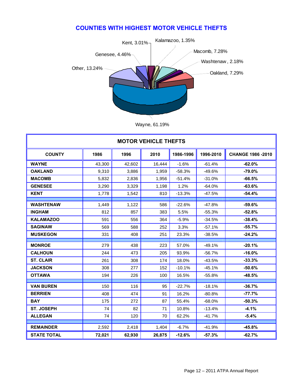#### **COUNTIES WITH HIGHEST MOTOR VEHICLE THEFTS**



Wayne, 61.19%

| <b>MOTOR VEHICLE THEFTS</b> |        |        |        |           |           |                          |  |  |
|-----------------------------|--------|--------|--------|-----------|-----------|--------------------------|--|--|
| <b>COUNTY</b>               | 1986   | 1996   | 2010   | 1986-1996 | 1996-2010 | <b>CHANGE 1986 -2010</b> |  |  |
| <b>WAYNE</b>                | 43,300 | 42,602 | 16,444 | $-1.6%$   | $-61.4%$  | $-62.0%$                 |  |  |
| <b>OAKLAND</b>              | 9,310  | 3,886  | 1,959  | $-58.3%$  | $-49.6%$  | $-79.0%$                 |  |  |
| <b>MACOMB</b>               | 5,832  | 2,836  | 1,956  | $-51.4%$  | $-31.0%$  | $-66.5%$                 |  |  |
| <b>GENESEE</b>              | 3,290  | 3,329  | 1,198  | 1.2%      | $-64.0%$  | $-63.6%$                 |  |  |
| <b>KENT</b>                 | 1,778  | 1,542  | 810    | $-13.3%$  | $-47.5%$  | $-54.4%$                 |  |  |
| <b>WASHTENAW</b>            | 1.449  | 1,122  | 586    | $-22.6%$  | $-47.8%$  | $-59.6%$                 |  |  |
| <b>INGHAM</b>               | 812    | 857    | 383    | 5.5%      | $-55.3%$  | $-52.8%$                 |  |  |
| <b>KALAMAZOO</b>            | 591    | 556    | 364    | $-5.9%$   | $-34.5%$  | $-38.4%$                 |  |  |
| <b>SAGINAW</b>              | 569    | 588    | 252    | 3.3%      | $-57.1%$  | $-55.7%$                 |  |  |
| <b>MUSKEGON</b>             | 331    | 408    | 251    | 23.3%     | $-38.5%$  | $-24.2%$                 |  |  |
| <b>MONROE</b>               | 279    |        |        |           |           | $-20.1%$                 |  |  |
|                             |        | 438    | 223    | 57.0%     | $-49.1%$  |                          |  |  |
| <b>CALHOUN</b>              | 244    | 473    | 205    | 93.9%     | $-56.7%$  | $-16.0%$                 |  |  |
| <b>ST. CLAIR</b>            | 261    | 308    | 174    | 18.0%     | $-43.5%$  | $-33.3%$                 |  |  |
| <b>JACKSON</b>              | 308    | 277    | 152    | $-10.1%$  | $-45.1%$  | $-50.6%$                 |  |  |
| <b>OTTAWA</b>               | 194    | 226    | 100    | 16.5%     | $-55.8%$  | $-48.5%$                 |  |  |
| <b>VAN BUREN</b>            | 150    | 116    | 95     | $-22.7%$  | $-18.1%$  | $-36.7%$                 |  |  |
| <b>BERRIEN</b>              | 408    | 474    | 91     | 16.2%     | $-80.8%$  | $-77.7%$                 |  |  |
| <b>BAY</b>                  | 175    | 272    | 87     | 55.4%     | $-68.0%$  | $-50.3%$                 |  |  |
| <b>ST. JOSEPH</b>           | 74     | 82     | 71     | 10.8%     | $-13.4%$  | $-4.1%$                  |  |  |
| <b>ALLEGAN</b>              | 74     | 120    | 70     | 62.2%     | $-41.7%$  | $-5.4%$                  |  |  |
|                             |        |        |        |           |           |                          |  |  |
| <b>REMAINDER</b>            | 2,592  | 2,418  | 1,404  | $-6.7%$   | $-41.9%$  | $-45.8%$                 |  |  |
| <b>STATE TOTAL</b>          | 72,021 | 62,930 | 26,875 | $-12.6%$  | $-57.3%$  | $-62.7%$                 |  |  |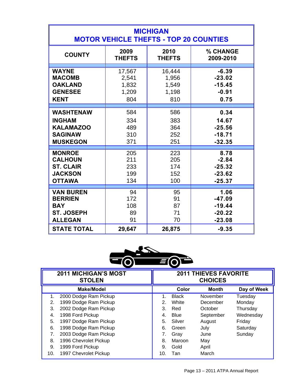| <b>MICHIGAN</b><br><b>MOTOR VEHICLE THEFTS - TOP 20 COUNTIES</b> |               |               |           |  |  |  |  |  |  |
|------------------------------------------------------------------|---------------|---------------|-----------|--|--|--|--|--|--|
| <b>COUNTY</b>                                                    | 2009          | 2010          | % CHANGE  |  |  |  |  |  |  |
|                                                                  | <b>THEFTS</b> | <b>THEFTS</b> | 2009-2010 |  |  |  |  |  |  |
| <b>WAYNE</b>                                                     | 17,567        | 16,444        | $-6.39$   |  |  |  |  |  |  |
| <b>MACOMB</b>                                                    | 2,541         | 1,956         | $-23.02$  |  |  |  |  |  |  |
| <b>OAKLAND</b>                                                   | 1,832         | 1,549         | $-15.45$  |  |  |  |  |  |  |
| <b>GENESEE</b>                                                   | 1,209         | 1,198         | $-0.91$   |  |  |  |  |  |  |
| <b>KENT</b>                                                      | 804           | 810           | 0.75      |  |  |  |  |  |  |
| <b>WASHTENAW</b>                                                 | 584           | 586           | 0.34      |  |  |  |  |  |  |
| <b>INGHAM</b>                                                    | 334           | 383           | 14.67     |  |  |  |  |  |  |
| <b>KALAMAZOO</b>                                                 | 489           | 364           | $-25.56$  |  |  |  |  |  |  |
| <b>SAGINAW</b>                                                   | 310           | 252           | $-18.71$  |  |  |  |  |  |  |
| <b>MUSKEGON</b>                                                  | 371           | 251           | $-32.35$  |  |  |  |  |  |  |
| <b>MONROE</b>                                                    | 205           | 223           | 8.78      |  |  |  |  |  |  |
| <b>CALHOUN</b>                                                   | 211           | 205           | $-2.84$   |  |  |  |  |  |  |
| <b>ST. CLAIR</b>                                                 | 233           | 174           | $-25.32$  |  |  |  |  |  |  |
| <b>JACKSON</b>                                                   | 199           | 152           | $-23.62$  |  |  |  |  |  |  |
| <b>OTTAWA</b>                                                    | 134           | 100           | $-25.37$  |  |  |  |  |  |  |
| <b>VAN BUREN</b>                                                 | 94            | 95            | 1.06      |  |  |  |  |  |  |
| <b>BERRIEN</b>                                                   | 172           | 91            | $-47.09$  |  |  |  |  |  |  |
| <b>BAY</b>                                                       | 108           | 87            | $-19.44$  |  |  |  |  |  |  |
| <b>ST. JOSEPH</b>                                                | 89            | 71            | $-20.22$  |  |  |  |  |  |  |
| <b>ALLEGAN</b>                                                   | 91            | 70            | $-23.08$  |  |  |  |  |  |  |
| <b>STATE TOTAL</b>                                               | 29,647        | 26,875        | $-9.35$   |  |  |  |  |  |  |



|     | <b>2011 MICHIGAN'S MOST</b><br><b>STOLEN</b> | <b>2011 THIEVES FAVORITE</b><br><b>CHOICES</b> |              |              |             |
|-----|----------------------------------------------|------------------------------------------------|--------------|--------------|-------------|
|     | Make/Model                                   |                                                | Color        | <b>Month</b> | Day of Week |
| 1.  | 2000 Dodge Ram Pickup                        | 1.                                             | <b>Black</b> | November     | Tuesday     |
| 2.  | 1999 Dodge Ram Pickup                        | 2.                                             | White        | December     | Monday      |
| 3.  | 2002 Dodge Ram Pickup                        | 3.                                             | Red          | October      | Thursday    |
| 4.  | 1998 Ford Pickup                             | 4.                                             | Blue         | September    | Wednesday   |
| 5.  | 1997 Dodge Ram Pickup                        | 5.                                             | Silver       | August       | Friday      |
| 6.  | 1998 Dodge Ram Pickup                        | 6.                                             | Green        | July         | Saturday    |
| 7.  | 2003 Dodge Ram Pickup                        | 7.                                             | Gray         | June         | Sunday      |
| 8.  | 1996 Chevrolet Pickup                        | 8.                                             | Maroon       | May          |             |
| 9.  | 1999 Ford Pickup                             | 9.                                             | Gold         | April        |             |
| 10. | 1997 Chevrolet Pickup                        | 10.                                            | Tan          | March        |             |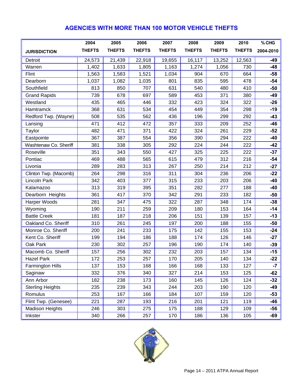### **AGENCIES WITH MORE THAN 100 MOTOR VEHICLE THEFTS**

|                         | 2004          | 2005          | 2006          | 2007          | 2008          | 2009          | 2010          | % CHG     |
|-------------------------|---------------|---------------|---------------|---------------|---------------|---------------|---------------|-----------|
| <b>JURISDICTION</b>     | <b>THEFTS</b> | <b>THEFTS</b> | <b>THEFTS</b> | <b>THEFTS</b> | <b>THEFTS</b> | <b>THEFTS</b> | <b>THEFTS</b> | 2004-2010 |
| Detroit                 | 24,573        | 21,439        | 22,918        | 19,655        | 16,117        | 13,252        | 12,563        | -49       |
| Warren                  | 1,402         | 1,633         | 1,805         | 1,163         | 1,274         | 1,056         | 730           | $-48$     |
| Flint                   | 1,563         | 1,583         | 1,521         | 1,034         | 904           | 670           | 664           | $-58$     |
| Dearborn                | 1,037         | 1,082         | 1,035         | 801           | 835           | 595           | 478           | $-54$     |
| Southfield              | 813           | 850           | 707           | 631           | 540           | 480           | 410           | $-50$     |
| <b>Grand Rapids</b>     | 739           | 678           | 697           | 589           | 453           | 371           | 380           | $-49$     |
| Westland                | 435           | 465           | 446           | 332           | 423           | 324           | 322           | $-26$     |
| Hamtramck               | 368           | 631           | 534           | 454           | 449           | 354           | 298           | $-19$     |
| Redford Twp. (Wayne)    | 508           | 535           | 562           | 436           | 196           | 299           | 292           | $-43$     |
| Lansing                 | 471           | 412           | 472           | 357           | 333           | 209           | 252           | $-46$     |
| Taylor                  | 482           | 471           | 371           | 422           | 324           | 261           | 229           | $-52$     |
| Eastpointe              | 367           | 387           | 554           | 356           | 390           | 294           | 222           | $-40$     |
| Washtenaw Co. Sheriff   | 381           | 338           | 305           | 292           | 224           | 244           | 222           | $-42$     |
| Roseville               | 351           | 343           | 550           | 427           | 325           | 225           | 222           | $-37$     |
| Pontiac                 | 469           | 488           | 565           | 615           | 479           | 312           | 216           | $-54$     |
| Livonia                 | 289           | 283           | 313           | 267           | 250           | 214           | 212           | $-27$     |
| Clinton Twp. (Macomb)   | 264           | 298           | 316           | 311           | 304           | 236           | 206           | $-22$     |
| Lincoln Park            | 342           | 403           | 377           | 315           | 233           | 203           | 206           | $-40$     |
| Kalamazoo               | 313           | 319           | 395           | 351           | 282           | 277           | 188           | $-40$     |
| Dearborn Heights        | 361           | 417           | 370           | 342           | 291           | 233           | 182           | $-50$     |
| Harper Woods            | 281           | 347           | 475           | 322           | 287           | 348           | 174           | $-38$     |
| Wyoming                 | 190           | 211           | 259           | 209           | 180           | 153           | 164           | $-14$     |
| <b>Battle Creek</b>     | 181           | 187           | 218           | 206           | 151           | 139           | 157           | $-13$     |
| Oakland Co. Sheriff     | 310           | 261           | 245           | 197           | 200           | 188           | 155           | $-50$     |
| Monroe Co. Sheriff      | 200           | 241           | 233           | 175           | 142           | 155           | 153           | $-24$     |
| Kent Co. Sheriff        | 199           | 194           | 186           | 188           | 174           | 126           | 146           | $-27$     |
| Oak Park                | 230           | 302           | 257           | 196           | 190           | 174           | 140           | $-39$     |
| Macomb Co. Sheriff      | 157           | 256           | 302           | 232           | 203           | 157           | 134           | $-15$     |
| <b>Hazel Park</b>       | 172           | 253           | 257           | 170           | 205           | 140           | 134           | $-22$     |
| <b>Farmington Hills</b> | 137           | 153           | 168           | 166           | 168           | 133           | 127           | $-7$      |
| Saginaw                 | 332           | 376           | 340           | 327           | 214           | 153           | 125           | $-62$     |
| Ann Arbor               | 182           | 238           | 173           | 160           | 145           | 126           | 124           | $-32$     |
| <b>Sterling Heights</b> | 235           | 239           | 343           | 244           | 203           | 190           | 120           | -49       |
| Romulus                 | 253           | 167           | 166           | 184           | 107           | 159           | 120           | $-53$     |
| Flint Twp. (Genesee)    | 221           | 287           | 193           | 216           | 201           | 121           | 119           | -46       |
| <b>Madison Heights</b>  | 246           | 303           | 275           | 175           | 188           | 129           | 109           | $-56$     |
| Inkster                 | 340           | 266           | 257           | 170           | 186           | 136           | 105           | -69       |

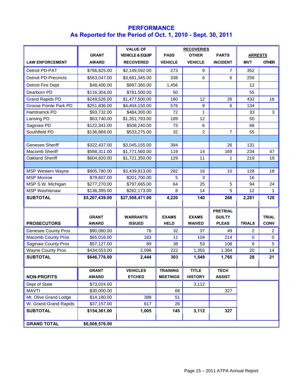#### **PERFORMANCE As Reported for the Period of Oct. 1, 2010 - Sept. 30, 2011**

|                             |                | <b>VALUE OF</b>            | <b>RECOVERIES</b> |                |                 |                |              |
|-----------------------------|----------------|----------------------------|-------------------|----------------|-----------------|----------------|--------------|
|                             | <b>GRANT</b>   | <b>VEHICLE &amp; EQUIP</b> | <b>PASS</b>       | <b>OTHER</b>   | <b>PARTS</b>    | <b>ARRESTS</b> |              |
| <b>LAW ENFORCEMENT</b>      | <b>AWARD</b>   | <b>RECOVERED</b>           | <b>VEHICLE</b>    | <b>VEHICLE</b> | <b>INCIDENT</b> | <b>MVT</b>     | <b>OTHER</b> |
| Detroit PD-PAT              | \$766,825.00   | \$2,149,592.00             | 273               | 9              | $\overline{7}$  | 352            |              |
| <b>Detroit PD-Precincts</b> | \$563,047.00   | \$3,681,345.00             | 338               | 6              | 6               | 256            |              |
| Detroit Fire Dept           | \$48,400.00    | \$897,360.00               | 1,456             |                |                 | 12             |              |
| Dearborn PD                 | \$116,304.00   | \$781,500.00               | 50                |                |                 | 55             |              |
| <b>Grand Rapids PD</b>      | \$249,526.00   | \$1,477,500.00             | 160               | 12             | 26              | 432            | 16           |
| Grosse Pointe Park PD       | \$251,836.00   | \$4,404,150.00             | 576               | 9              | 6               | 134            |              |
| Hamtramck PD                | \$93,732.00    | \$484,300.00               | 72                | 1              |                 | 33             | 3            |
| Lansing PD                  | \$63,740.00    | \$1,351,793.00             | 189               | 12             |                 | 50             |              |
| Saginaw PD                  | \$122,341.00   | \$508,240.00               | 73                | 6              |                 | 68             |              |
| Southfield PD               | \$136,868.00   | \$533,275.00               | 32                | $\overline{c}$ | $\overline{7}$  | 55             |              |
|                             |                |                            |                   |                |                 |                |              |
| <b>Genesee Sheriff</b>      | \$322,437.00   | \$3,045,155.00             | 394               |                | 26              | 131            |              |
| Macomb Sheriff              | \$568,311.00   | \$1,771,560.00             | 119               | 14             | 169             | 234            | 47           |
| Oakland Sheriff             | \$604,820.00   | \$1,721,350.00             | 129               | 11             | 1               | 219            | 19           |
|                             |                |                            |                   |                |                 |                |              |
| <b>MSP Western Wayne</b>    | \$805,780.00   | \$3,439,813.00             | 282               | 16             | 10              | 128            | 18           |
| <b>MSP Monroe</b>           | \$79,807.00    | \$201,700.00               | 5                 | 3              |                 | 16             |              |
| MSP S.W. Michigan           | \$277,270.00   | \$797,665.00               | 64                | 25             | 5               | 94             | 24           |
| <b>MSP Washtenaw</b>        | \$136,395.00   | \$262,173.00               | 8                 | 14             | 5               | 12             | 1.           |
| <b>SUBTOTAL</b>             | \$5,207,439.00 | \$27,508,471.00            | 4,220             | 140            | 268             | 2,281          | 128          |
|                             |                |                            |                   |                |                 |                |              |
|                             |                |                            |                   |                | <b>PRETRIAL</b> |                |              |
|                             | <b>GRANT</b>   | <b>WARRANTS</b>            | <b>EXAMS</b>      | <b>EXAMS</b>   | <b>GUILTY</b>   |                | <b>TRIAL</b> |
| <b>PROSECUTORS</b>          | <b>AWARD</b>   | <b>ISSUED</b>              | <b>HELD</b>       | <b>WAIVED</b>  | <b>PLEAS</b>    | <b>TRIALS</b>  | <b>CONV</b>  |
| <b>Genesee County Pros</b>  | \$90,080.00    | 76                         | 32                | 37             | 49              | 2              | 2            |
| <b>Macomb County Pros</b>   | \$65,016.00    | 183                        | 11                | 104            | 214             | $\mathbf 0$    | $\mathbf 0$  |
| <b>Saginaw County Pros</b>  | \$57,127.00    | 89                         | 38                | 53             | 108             | 6              | 5            |
| <b>Wayne County Pros</b>    | \$434,553.00   | 2,096                      | 222               | 1,355          | 1,394           | 20             | 14           |
| <b>SUBTOTAL</b>             | \$646,776.00   | 2,444                      | 303               | 1,549          | 1,765           | 28             | 21           |
|                             |                |                            |                   |                |                 |                |              |
|                             | <b>GRANT</b>   | <b>VEHICLES</b>            | <b>TRAINING</b>   | <b>TITLE</b>   | <b>TECH</b>     |                |              |
| <b>NON-PROFITS</b>          | <b>AWARD</b>   | <b>ETCHED</b>              | <b>MEETINGS</b>   | <b>HISTORY</b> | <b>ASSIST</b>   |                |              |
| Dept of State               | \$73,024.00    |                            |                   | 3,112          |                 |                |              |
| <b>MAVTI</b>                | \$30,000.00    |                            | 68                |                | 327             |                |              |
| Mt. Olive Grand Lodge       | \$14,180.00    | 388                        | 51                |                |                 |                |              |
| W. Grand-Grand Rapids       | \$37,157.00    | 617                        | 26                |                |                 |                |              |
| <b>SUBTOTAL</b>             | \$154,361.00   | 1,005                      | 145               | 3,112          | 327             |                |              |
|                             |                |                            |                   |                |                 |                |              |
| <b>GRAND TOTAL</b>          | \$6,008,576.00 |                            |                   |                |                 |                |              |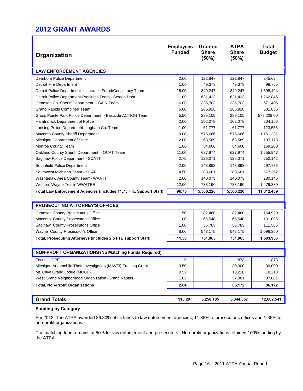### **2012 GRANT AWARDS**

| Organization                                                            | <b>Employees</b><br><b>Funded</b> | <b>Grantee</b><br><b>Share</b><br>(50%) | <b>ATPA</b><br><b>Share</b><br>(50%) | <b>Total</b><br><b>Budget</b> |  |
|-------------------------------------------------------------------------|-----------------------------------|-----------------------------------------|--------------------------------------|-------------------------------|--|
| <b>LAW ENFORCEMENT AGENCIES</b>                                         |                                   |                                         |                                      |                               |  |
| Dearborn Police Department                                              | 2.00                              | 122,847                                 | 122,847                              | 245,694                       |  |
| <b>Detroit Fire Department</b>                                          | 1.00                              | 49,378                                  | 49,378                               | 98,755                        |  |
| Detroit Police Department -Insurance Fraud/Conspiracy Team              | 16.00                             | 849,247                                 | 849,247                              | 1,698,494                     |  |
| Detroit Police Department-Precincts Team - Screen Door                  | 11.00                             | 631,423                                 | 631,423                              | 1,262,846                     |  |
| Genesee Co. Sheriff Department - GAIN Team                              | 6.00                              | 335,703                                 | 335,703                              | 671,406                       |  |
| <b>Grand Rapids Combined Team</b>                                       | 5.00                              | 265,928                                 | 265,928                              | 531,855                       |  |
| Gross Pointe Park Police Department - Eastside ACTION Team              | 5.50                              | 289,105                                 | 289,105                              | 578,209.00                    |  |
| Hamtramck Department of Police                                          | 2.00                              | 102,078                                 | 102,078                              | 204,156                       |  |
| Lansing Police Department - Ingham Co. Team                             | 1.00                              | 61,777                                  | 61,777                               | 123,553                       |  |
| Macomb County Sheriff Department                                        | 10.00                             | 575,666                                 | 575,666                              | 1,151,331                     |  |
| Michigan Department of State                                            | 2.00                              | 68,589                                  | 68,589                               | 137,178                       |  |
| Monroe County Team                                                      | 1.00                              | 84,600                                  | 84,600                               | 169,200                       |  |
| Oakland County Sheriff Department - OCAT Team                           | 11.00                             | 627,974                                 | 627,974                              | 1,255,947                     |  |
| Saginaw Police Department - SCATT                                       | 2.75                              | 126,071                                 | 126,071                              | 252,142                       |  |
| Southfield Police Department                                            | 2.00                              | 148,893                                 | 148,893                              | 297,786                       |  |
| Southwest Michigan Team - SCAR                                          | 4.50                              | 288,681                                 | 288,681                              | 577,362                       |  |
| Washtenaw Area County Team- WAATT                                       | 2.00                              | 140,073                                 | 140,073                              | 280,145                       |  |
| Western Wayne Team- WWATEE                                              | 12.00                             | 738,190                                 | 738,190                              | 1,476,380                     |  |
| Total Law Enforcement Agencies (includes 11.75 FTE Support Staff)       | 96.75                             | 5,506,220                               | 5,506,220                            | 11,012,439                    |  |
| PROSECUTING ATTORNEY'S OFFICES                                          |                                   |                                         |                                      |                               |  |
|                                                                         |                                   |                                         |                                      |                               |  |
| Genesee County Prosecutor's Office<br>Macomb County Prosecutor's Office | 1.50<br>1.00                      | 82,460<br>65,548                        | 82,460<br>65,548                     | 164,920<br>131,095            |  |
| Saginaw County Prosecutor's Office                                      | 1.00                              | 55,783                                  | 55,783                               | 111,565                       |  |
| Wayne County Prosecutor's Office                                        | 8.00                              | 548,175                                 | 548,175                              | 1,096,350                     |  |
| Total, Prosecuting Attorneys (includes 2.5 FTE support Staff)           | 11.50                             | 751,965                                 | 751,965                              | 1,503,930                     |  |
|                                                                         |                                   |                                         |                                      |                               |  |
| <b>NON-PROFIT ORGANIZATIONS (No Matching Funds Required)</b>            |                                   |                                         |                                      |                               |  |
| Focus: HOPE                                                             | 0                                 |                                         | 873                                  | 873                           |  |
| Michigan Automobile Theft Investigation (MAVTI) Training Grant          | 0.50                              |                                         | 30,000                               | 30,000                        |  |
| Mt. Olive Grand Lodge (MOGL)                                            | 0.52                              |                                         | 18,218                               | 18,218                        |  |
| West Grand Neighborhood Organization - Grand Rapids                     | 1.02                              |                                         | 37,081                               | 37,081                        |  |
| <b>Total, Non-Profit Organizations</b>                                  | 2.04                              |                                         | 86,172                               | 86,172                        |  |
|                                                                         |                                   |                                         |                                      |                               |  |
| <b>Grand Totals</b>                                                     | 110.29                            | 6,258,185                               | 6,344,357                            | 12,602,541                    |  |

#### **Funding by Category**

For 2012, The ATPA awarded 86.80% of its funds to law enforcement agencies, 11.85% to prosecutor's offices and 1.35% to non-profit organizations.

The matching fund remains at 50% for law enforcement and prosecutors. Non-profit organizations retained 100% funding by the ATPA.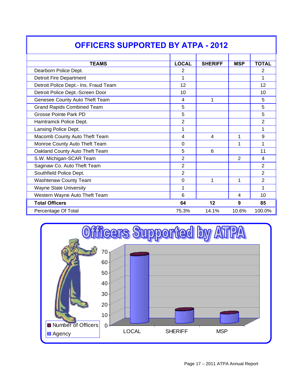| OFFICERS SUPPORTED BY ATPA - 2012     |                         |                |            |                |  |
|---------------------------------------|-------------------------|----------------|------------|----------------|--|
| <b>TEAMS</b>                          | <b>LOCAL</b>            | <b>SHERIFF</b> | <b>MSP</b> | <b>TOTAL</b>   |  |
| Dearborn Police Dept.                 | 2                       |                |            | 2              |  |
| <b>Detroit Fire Department</b>        | 1                       |                |            | 1              |  |
| Detroit Police Dept.- Ins. Fraud Team | 12                      |                |            | 12             |  |
| Detroit Police Dept.-Screen Door      | 10                      |                |            | 10             |  |
| Genesee County Auto Theft Team        | $\overline{4}$          | 1              |            | 5              |  |
| <b>Grand Rapids Combined Team</b>     | 5                       |                |            | 5              |  |
| <b>Grosse Pointe Park PD</b>          | 5                       |                |            | 5              |  |
| Hamtramck Police Dept.                | $\overline{2}$          |                |            | $\overline{2}$ |  |
| Lansing Police Dept.                  | 1                       |                |            | 1              |  |
| Macomb County Auto Theft Team         | $\overline{\mathbf{4}}$ | 4              | 1          | 9              |  |
| Monroe County Auto Theft Team         | $\overline{0}$          |                | 1          | 1              |  |
| Oakland County Auto Theft Team        | 5                       | 6              |            | 11             |  |
| S.W. Michigan-SCAR Team               | $\overline{2}$          |                | 2          | 4              |  |
| Saginaw Co. Auto Theft Team           | $\overline{2}$          |                |            | $\overline{2}$ |  |
| Southfield Police Dept.               | $\overline{2}$          |                |            | $\overline{2}$ |  |
| Washtenaw County Team                 | $\overline{0}$          | 1              | 1          | $\overline{2}$ |  |
| <b>Wayne State University</b>         | 1                       |                |            |                |  |
| Western Wayne Auto Theft Team         | 6                       |                | 4          | 10             |  |
| <b>Total Officers</b>                 | 64                      | 12             | 9          | 85             |  |
| Percentage Of Total                   | 75.3%                   | 14.1%          | 10.6%      | 100.0%         |  |



## **OFFICERS SUPPORTED BY ATPA - 2012**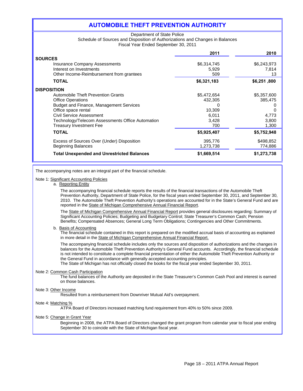#### **AUTOMOBILE THEFT PREVENTION AUTHORITY**

#### Department of State Police Schedule of Sources and Disposition of Authorizations and Changes in Balances Fiscal Year Ended September 30, 2011

|                                                   | 2011        | 2010        |
|---------------------------------------------------|-------------|-------------|
| <b>SOURCES</b>                                    |             |             |
| <b>Insurance Company Assessments</b>              | \$6,314,745 | \$6,243,973 |
| Interest on Investments                           | 5,929       | 7,814       |
| Other Income-Reimbursement from grantees          | 509         | 13          |
| <b>TOTAL</b>                                      | \$6,321,183 | \$6,251,800 |
| <b>DISPOSITION</b>                                |             |             |
| Automobile Theft Prevention Grants                | \$5,472,654 | \$5,357,600 |
| <b>Office Operations</b>                          | 432,305     | 385,475     |
| Budget and Finance, Management Services           |             |             |
| Office space rental                               | 10,309      |             |
| Civil Service Assessment                          | 6,011       | 4,773       |
| Technology/Telecom Assessments Office Automation  | 3.428       | 3,800       |
| <b>Treasury Investment Fee</b>                    | 700         | 1,300       |
| <b>TOTAL</b>                                      | \$5,925,407 | \$5,752,948 |
| Excess of Sources Over (Under) Disposition        | 395,776     | \$498,852   |
| <b>Beginning Balances</b>                         | 1,273,738   | 774,886     |
| <b>Total Unexpended and Unrestricted Balances</b> | \$1,669,514 | \$1,273,738 |

The accompanying notes are an integral part of the financial schedule.

#### Note 1: Significant Accounting Policies

a. Reporting Entity

The accompanying financial schedule reports the results of the financial transactions of the Automobile Theft Prevention Authority, Department of State Police, for the fiscal years ended September 30, 2011, and September 30, 2010. The Automobile Theft Prevention Authority's operations are accounted for in the State's General Fund and are reported in the State of Michigan Comprehensive Annual Financial Report.

The State of Michigan Comprehensive Annual Financial Report provides general disclosures regarding: Summary of Significant Accounting Policies; Budgeting and Budgetary Control; State Treasurer's Common Cash; Pension Benefits; Compensated Absences; General Long Term Obligations; Contingencies and Other Commitments.

#### b. Basis of Accounting

The financial schedule contained in this report is prepared on the modified accrual basis of accounting as explained in more detail in the State of Michigan Comprehensive Annual Financial Report.

The accompanying financial schedule includes only the sources and disposition of authorizations and the changes in balances for the Automobile Theft Prevention Authority's General Fund accounts. Accordingly, the financial schedule is not intended to constitute a complete financial presentation of either the Automobile Theft Prevention Authority or the General Fund in accordance with generally accepted accounting principles.

The State of Michigan has not officially closed the books for the fiscal year ended September 30, 2011.

#### Note 2: Common Cash Participation

The fund balances of the Authority are deposited in the State Treasurer's Common Cash Pool and interest is earned on those balances.

#### Note 3: Other Income

Resulted from a reimbursement from Downriver Mutual Aid's overpayment.

#### Note 4: Matching %

ATPA Board of Directors increased matching fund requirement from 40% to 50% since 2009.

#### Note 5: Change in Grant Year

Beginning in 2008, the ATPA Board of Directors changed the grant program from calendar year to fiscal year ending September 30 to coincide with the State of Michigan fiscal year.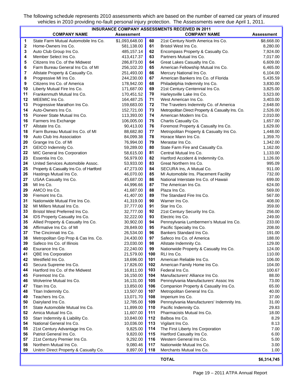The following schedule represents 2010 assessments which are based on the number of earned car years of insured vehicles in 2010 providing no-fault personal injury protection. The Assessments were due April 1, 2011.

| <b>INSURANCE COMPANY ASSESSMENTS RECEIVED IN 2011</b> |                                                  |                        |          |                                                                                |                   |  |
|-------------------------------------------------------|--------------------------------------------------|------------------------|----------|--------------------------------------------------------------------------------|-------------------|--|
|                                                       | <b>COMPANY NAME</b>                              | <b>Assessment</b>      |          | <b>COMPANY NAME</b>                                                            | <b>Assessment</b> |  |
| 1                                                     | State Farm Mutual Automobile Ins Co.             | \$1,093,648.00         | 60       | 21st Century North America Ins Co.                                             | \$8,668.00        |  |
| 2                                                     | Home-Owners Ins Co.                              | 581,138.00             | 61       | Bristol West Ins Co.                                                           | 8,280.00          |  |
| 3                                                     | Auto Club Group Ins Co.                          | 485,157.14             | 62       | Encompass Property & Casualty Co.                                              | 7,924.00          |  |
| 4                                                     | Member Select Ins Co.                            | 413,417.37             | 63       | Partners Mutual Ins Co.                                                        | 7,017.00          |  |
| 5                                                     | Citizens Ins Co. of the Midwest                  | 286,873.00             | 64       | Great Lakes Casualty Ins Co.                                                   | 6,609.00          |  |
| 6                                                     | Farm Bureau General Ins Co. of MI                | 256,102.20             | 65       | American Fellowship Mutual Ins Co.                                             | 6,465.00          |  |
| 7                                                     | Allstate Property & Casualty Co.                 | 251,493.00             | 66       | Mercury National Ins Co.                                                       | 6,104.00          |  |
| 8                                                     | Progressive MI Ins Co.                           | 244,230.00             | 67       | American Bankers Ins Co. of Florida                                            | 5,435.59          |  |
| 9                                                     | Citizens Ins Co. of America                      | 178,942.00             | 68       | Philadelphia Indemnity Ins Co.                                                 | 3,830.00          |  |
| 10                                                    | Liberty Mutual Fire Ins Co.                      | 171,687.00             | 69       | 21st Century Centennial Ins Co.                                                | 3,825.00          |  |
| 11                                                    | Frankenmuth Mutual Ins Co.                       | 170,451.52             | 70       | Harleysville Lake Ins Co.                                                      | 3,523.00          |  |
| 12                                                    | MEEMIC Ins Co.                                   | 164,487.25             | 71       | West American Ins Co.                                                          | 3,403.00          |  |
| 13                                                    | Progressive Marathon Ins Co.                     | 159,683.00             | 72       | The Travelers Indemnity Co. of America                                         | 2,648.00          |  |
| 14                                                    | Auto-Owners Ins Co.                              | 152,721.00             | 73       | Metropolitan Direct Property & Casualty Ins. Co.                               | 2,526.00          |  |
| 15                                                    | Pioneer State Mutual Ins Co.                     | 113,393.00             | 74       | American Modern Ins Co.                                                        | 2,010.00          |  |
| 16                                                    | Farmers Ins Exchange                             | 106,005.00             | 75       | Chartis Casualty Co.                                                           | 1,657.00          |  |
| 17                                                    | Allstate Ins Co.                                 | 90,413.00              | 76       | Foremost Property & Casualty Ins Co.                                           | 1,629.00          |  |
| 18                                                    | Farm Bureau Mutual Ins Co. of MI                 | 88,682.80              | 77       | Metropolitan Property & Casualty Ins Co.                                       | 1,448.00          |  |
| 19                                                    | Auto Club Ins Association                        | 84,099.38              | 78       | Horace Mann Ins Co.                                                            | 1,359.70          |  |
| 20                                                    | Grange Ins Co. of MI                             | 76,994.00              | 79       | Merastar Ins Co.                                                               | 1,342.00          |  |
| 21                                                    | GEICO Indemnity Co.                              | 59,289.00              | 80       | State Farm Fire and Casualty Co.                                               | 1,162.00          |  |
| 22                                                    | MIC General Ins Corporation                      | 58,615.00              | 81       | Central Mutual Ins Co.                                                         | 1,133.00          |  |
| 23                                                    | Essentia Ins Co.                                 | 56,979.00              | 82       | Hartford Accident & Indemnity Co.                                              | 1,126.00          |  |
| 24                                                    | United Services Automobile Assoc.                | 53,933.00              | 83<br>84 | Great Northern Ins Co.                                                         | 995.09            |  |
| 25                                                    | Property & Casualty Ins Co. of Hartford          | 47,273.00              | 85       | SECURA Ins, A Mutual Co.                                                       | 911.00            |  |
| 26<br>27                                              | Hastings Mutual Ins Co.<br>USAA Casualty Ins Co. | 46,070.00<br>45,687.00 | 86       | MI Automobile Ins. Placement Facility<br>National Interstate Ins Co. of Hawaii | 732.00<br>699.00  |  |
| 28                                                    | MI Ins Co.                                       | 44,996.66              | 87       | The American Ins Co.                                                           | 624.00            |  |
| 29                                                    | AMCO Ins Co.                                     | 41,687.00              | 88       | Plaza Ins Co.                                                                  | 569.00            |  |
| 30                                                    | Fremont Ins Co.                                  | 41,407.00              | 89       | The Standard Fire Ins Co.                                                      | 567.00            |  |
| 31                                                    | Nationwide Mutual Fire Ins Co.                   | 41,319.00              | 90       | Warner Ins Co.                                                                 | 408.00            |  |
| 32                                                    | MI Millers Mutual Ins Co.                        | 37,777.00              | 91       | Star Ins Co.                                                                   | 359.00            |  |
| 33                                                    | Bristol West Preferred Ins Co.                   | 32,777.00              | 92       | 21st Century Security Ins Co.                                                  | 256.00            |  |
| 34                                                    | IDS Property Casualty Ins Co.                    | 32,222.00              | 93       | Electric Ins Co.                                                               | 249.00            |  |
| 35                                                    | Allied Property & Casualty Ins Co.               | 30,902.00              | 94       | Pennsylvania Lumbermen's Mutual Ins Co.                                        | 233.00            |  |
| 36                                                    | Affirmative Ins Co. of MI                        | 28,849.00              | 95       | Pacific Specialty Ins Co.                                                      | 208.00            |  |
| 37                                                    | The Cincinnati Ins Co.                           | 26,534.00              | 96       | Bankers Standard Ins Co.                                                       | 191.00            |  |
| 38                                                    | Metropolitan Grp Prop & Cas Ins. Co.             | 24,430.00              | 97       | Safeco Ins Co. of America                                                      | 188.00            |  |
| 39                                                    | Safeco Ins Co. of Illinois                       | 23,030.00              | 98       | Allstate Indemnity Co.                                                         | 129.00            |  |
| 40                                                    | Esurance Ins Co.                                 | 22,240.00              | 99       | Nationwide Property & Casualty Ins Co.                                         | 124.00            |  |
| 41                                                    | QBE Ins Corporation                              | 21,579.00              | 100      | RLI Ins Co.                                                                    | 110.00            |  |
| 42                                                    | Westfield Ins Co.                                | 18,696.00              | 101      | American Reliable Ins Co.                                                      | 106.00            |  |
| 43                                                    | Secura Supreme Ins Co.                           | 17,826.00              | 102      | American Family Home Ins Co.                                                   | 104.00            |  |
| 44                                                    | Hartford Ins Co. of the Midwest                  | 16,811.00              | 103      | Federal Ins Co.                                                                | 100.67            |  |
| 45                                                    | Foremost Ins Co.                                 | 16,150.00              | 104      | Manufacturers' Alliance Ins Co.                                                | 88.00             |  |
| 46                                                    | Wolverine Mutual Ins Co.                         | 16,131.00              | 105      | Pennsylvania Manufacturers' Assoc Ins                                          | 73.00             |  |
| 47                                                    | Titan Ins Co.                                    | 13,850.00              | 106      | Companion Property & Casualty Ins Co.                                          | 65.00             |  |
| 48                                                    | Titan Indemnity Co.                              | 13,507.00              | 107      | Metropolitan General Ins Co.                                                   | 40.00             |  |
| 49                                                    | Teachers Ins Co.                                 | 13,071.70              | 108      | Imperium Ins Co.                                                               | 37.00             |  |
| 50                                                    | Dairyland Ins Co.                                | 12,785.00              | 109      | Pennsylvania Manufacturers' Indemnity Ins.                                     | 31.00             |  |
| 51                                                    | State Automobile Mutual Ins Co.                  | 11,899.00              | 110      | Pacific Indemnity Co.                                                          | 29.83             |  |
| 52                                                    | Amica Mutual Ins Co.                             | 11,607.00              | 111      | Pharmacists Mutual Ins Co.                                                     | 18.00             |  |
| 53                                                    | Starr Indemnity & Liability Co.                  | 10,840.00              | 112      | Balboa Ins Co.                                                                 | 8.29              |  |
| 54                                                    | National General Ins Co.                         | 10,036.00              | 113      | Vigilant Ins Co.                                                               | 8.13              |  |
| 55                                                    | 21st Century Advantage Ins Co.                   | 9,825.00               | 114      | The First Liberty Ins Corporation                                              | 7.00              |  |
| 56                                                    | Patriot General Ins Co.                          | 9,820.00               | 115      | Hartford Casualty Ins Co.                                                      | 6.00              |  |
| 57                                                    | 21st Century Premier Ins Co.                     | 9,292.00               | 116      | Western General Ins Co.                                                        | 5.00              |  |
| 58                                                    | Northern Mutual Ins Co.                          | 9,080.46               | 117      | Nationwide Mutual Ins Co.                                                      | 3.00              |  |
| 59                                                    | Unitrin Direct Property & Casualty Co.           | 8,897.00               | 118      | Merchants Mutual Ins Co.                                                       | 1.00              |  |
|                                                       |                                                  |                        |          | <b>TOTAL</b>                                                                   | \$6,314,745       |  |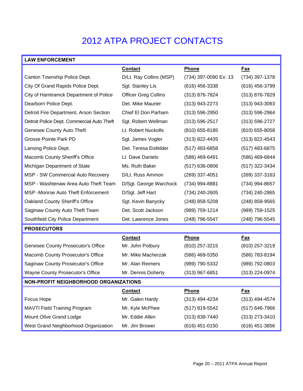## 2012 ATPA PROJECT CONTACTS

### **LAW ENFORCEMENT**

|                                              | <b>Contact</b>              | <b>Phone</b>          | <u>Fax</u>         |  |  |  |
|----------------------------------------------|-----------------------------|-----------------------|--------------------|--|--|--|
| Canton Township Police Dept.                 | D/Lt. Ray Collins (MSP)     | (734) 397-0090 Ex: 13 | (734) 397-1378     |  |  |  |
| City Of Grand Rapids Police Dept.            | Sgt. Stanley Lis            | $(616)$ 456-3338      | $(616)$ 456-3799   |  |  |  |
| City of Hamtramck Department of Police       | <b>Officer Greg Collins</b> | (313) 876-7824        | $(313) 876 - 7829$ |  |  |  |
| Dearborn Police Dept.                        | Det. Mike Maurier           | $(313)$ 943-2273      | $(313)$ 943-3093   |  |  |  |
| Detroit Fire Department, Arson Section       | Chief El Don Parham         | (313) 596-2950        | (313) 596-2964     |  |  |  |
| Detroit Police Dept. Commercial Auto Theft   | Sgt. Robert Wellman         | $(313) 596 - 2517$    | $(313) 596 - 2727$ |  |  |  |
| Genesee County Auto Theft                    | Lt. Robert Nuckolls         | (810) 655-8185        | $(810)$ 655-8058   |  |  |  |
| <b>Grosse Pointe Park PD</b>                 | Sgt. James Vogler           | $(313)$ 822-4435      | $(313)$ 822-4543   |  |  |  |
| Lansing Police Dept.                         | Det. Teresa Eisfelder       | $(517)$ 483-6858      | (517) 483-6875     |  |  |  |
| Macomb County Sheriff's Office               | Lt. Dave Daniels            | (586) 469-6491        | (586) 469-6844     |  |  |  |
| Michigan Department of State                 | Ms. Ruth Baker              | $(517)$ 636-0806      | (517) 322-3434     |  |  |  |
| MSP - SW Commercial Auto Recovery            | D/Lt. Russ Ammon            | (269) 337-4051        | (269) 337-3163     |  |  |  |
| MSP - Washtenaw Area Auto Theft Team         | D/Sgt. George Warchock      | (734) 994-8881        | (734) 994-8657     |  |  |  |
| <b>MSP</b> -Monroe Auto Theft Enforcement    | D/Sgt. Jeff Hart            | (734) 240-2605        | (734) 240-2865     |  |  |  |
| Oakland County Sheriff's Office              | Sgt. Kevin Banycky          | (248) 858-5208        | $(248)$ 858-9565   |  |  |  |
| Saginaw County Auto Theft Team               | Det. Scott Jackson          | (989) 759-1214        | (989) 759-1525     |  |  |  |
| Southfield City Police Department            | Det. Lawrence Jones         | (248) 796-5547        | (248) 796-5545     |  |  |  |
| <b>PROSECUTORS</b>                           |                             |                       |                    |  |  |  |
|                                              | <b>Contact</b>              | <b>Phone</b>          | Fax                |  |  |  |
| <b>Genesee County Prosecutor's Office</b>    | Mr. John Potbury            | (810) 257-3215        | (810) 257-3219     |  |  |  |
| Macomb County Prosecutor's Office            | Mr. Mike Macherzak          | (586) 469-5350        | (586) 783-8194     |  |  |  |
| Saginaw County Prosecutor's Office           | Mr. Alan Reimers            | (989) 790-5332        | (989) 792-0803     |  |  |  |
| Wayne County Prosecutor's Office             | Mr. Dennis Doherty          | (313) 967-6851        | (313) 224-0974     |  |  |  |
| <b>NON-PROFIT NEIGHBORHOOD ORGANIZATIONS</b> |                             |                       |                    |  |  |  |
|                                              | <b>Contact</b>              | Phone                 | <u>Fax</u>         |  |  |  |
| Focus Hope                                   | Mr. Galen Hardy             | $(313)$ 494-4234      | $(313)$ 494-4574   |  |  |  |
| <b>MAVTI Field Training Program</b>          | Mr. Kyle McPhee             | (517) 819-5542        | $(517)$ 646-7966   |  |  |  |
| Mount Olive Grand Lodge                      | Mr. Eddie Allen             | $(313) 838 - 7440$    | $(313)$ 273-3410   |  |  |  |
| West Grand Neighborhood Organization         | Mr. Jim Brower              | (616) 451-0150        | (616) 451-3856     |  |  |  |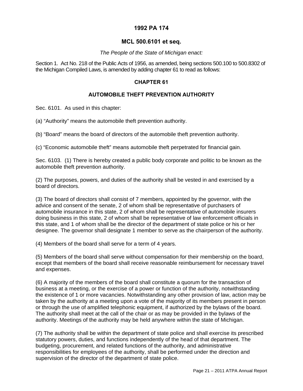#### **1992 PA 174**

#### **MCL 500.6101 et seq.**

#### *The People of the State of Michigan enact:*

Section 1. Act No. 218 of the Public Acts of 1956, as amended, being sections 500.100 to 500.8302 of the Michigan Compiled Laws, is amended by adding chapter 61 to read as follows:

#### **CHAPTER 61**

#### **AUTOMOBILE THEFT PREVENTION AUTHORITY**

Sec. 6101. As used in this chapter:

(a) "Authority" means the automobile theft prevention authority.

(b) "Board" means the board of directors of the automobile theft prevention authority.

(c) "Economic automobile theft" means automobile theft perpetrated for financial gain.

Sec. 6103. (1) There is hereby created a public body corporate and politic to be known as the automobile theft prevention authority.

(2) The purposes, powers, and duties of the authority shall be vested in and exercised by a board of directors.

(3) The board of directors shall consist of 7 members, appointed by the governor, with the advice and consent of the senate, 2 of whom shall be representative of purchasers of automobile insurance in this state, 2 of whom shall be representative of automobile insurers doing business in this state, 2 of whom shall be representative of law enforcement officials in this state, and 1 of whom shall be the director of the department of state police or his or her designee. The governor shall designate 1 member to serve as the chairperson of the authority.

(4) Members of the board shall serve for a term of 4 years.

(5) Members of the board shall serve without compensation for their membership on the board, except that members of the board shall receive reasonable reimbursement for necessary travel and expenses.

(6) A majority of the members of the board shall constitute a quorum for the transaction of business at a meeting, or the exercise of a power or function of the authority, notwithstanding the existence of 1 or more vacancies. Notwithstanding any other provision of law, action may be taken by the authority at a meeting upon a vote of the majority of its members present in person or through the use of amplified telephonic equipment, if authorized by the bylaws of the board. The authority shall meet at the call of the chair or as may be provided in the bylaws of the authority. Meetings of the authority may be held anywhere within the state of Michigan.

(7) The authority shall be within the department of state police and shall exercise its prescribed statutory powers, duties, and functions independently of the head of that department. The budgeting, procurement, and related functions of the authority, and administrative responsibilities for employees of the authority, shall be performed under the direction and supervision of the director of the department of state police.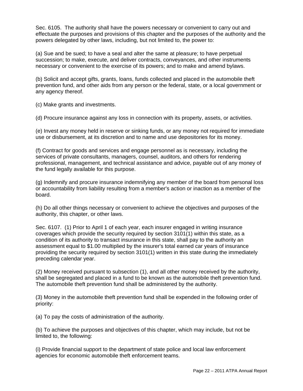Sec. 6105. The authority shall have the powers necessary or convenient to carry out and effectuate the purposes and provisions of this chapter and the purposes of the authority and the powers delegated by other laws, including, but not limited to, the power to:

(a) Sue and be sued; to have a seal and alter the same at pleasure; to have perpetual succession; to make, execute, and deliver contracts, conveyances, and other instruments necessary or convenient to the exercise of its powers; and to make and amend bylaws.

(b) Solicit and accept gifts, grants, loans, funds collected and placed in the automobile theft prevention fund, and other aids from any person or the federal, state, or a local government or any agency thereof.

(c) Make grants and investments.

(d) Procure insurance against any loss in connection with its property, assets, or activities.

(e) Invest any money held in reserve or sinking funds, or any money not required for immediate use or disbursement, at its discretion and to name and use depositories for its money.

(f) Contract for goods and services and engage personnel as is necessary, including the services of private consultants, managers, counsel, auditors, and others for rendering professional, management, and technical assistance and advice, payable out of any money of the fund legally available for this purpose.

(g) Indemnify and procure insurance indemnifying any member of the board from personal loss or accountability from liability resulting from a member's action or inaction as a member of the board.

(h) Do all other things necessary or convenient to achieve the objectives and purposes of the authority, this chapter, or other laws.

Sec. 6107. (1) Prior to April 1 of each year, each insurer engaged in writing insurance coverages which provide the security required by section 3101(1) within this state, as a condition of its authority to transact insurance in this state, shall pay to the authority an assessment equal to \$1.00 multiplied by the insurer's total earned car years of insurance providing the security required by section 3101(1) written in this state during the immediately preceding calendar year.

(2) Money received pursuant to subsection (1), and all other money received by the authority, shall be segregated and placed in a fund to be known as the automobile theft prevention fund. The automobile theft prevention fund shall be administered by the authority.

(3) Money in the automobile theft prevention fund shall be expended in the following order of priority:

(a) To pay the costs of administration of the authority.

(b) To achieve the purposes and objectives of this chapter, which may include, but not be limited to, the following:

(i) Provide financial support to the department of state police and local law enforcement agencies for economic automobile theft enforcement teams.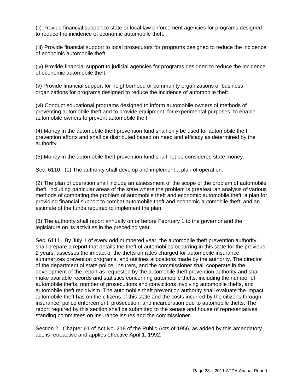(ii) Provide financial support to state or local law enforcement agencies for programs designed to reduce the incidence of economic automobile theft.

(iii) Provide financial support to local prosecutors for programs designed to reduce the incidence of economic automobile theft.

(iv) Provide financial support to judicial agencies for programs designed to reduce the incidence of economic automobile theft.

(v) Provide financial support for neighborhood or community organizations or business organizations for programs designed to reduce the incidence of automobile theft.

(vi) Conduct educational programs designed to inform automobile owners of methods of preventing automobile theft and to provide equipment, for experimental purposes, to enable automobile owners to prevent automobile theft.

(4) Money in the automobile theft prevention fund shall only be used for automobile theft prevention efforts and shall be distributed based on need and efficacy as determined by the authority.

(5) Money in the automobile theft prevention fund shall not be considered state money.

Sec. 6110. (1) The authority shall develop and implement a plan of operation.

(2) The plan of operation shall include an assessment of the scope of the problem of automobile theft, including particular areas of the state where the problem is greatest; an analysis of various methods of combating the problem of automobile theft and economic automobile theft; a plan for providing financial support to combat automobile theft and economic automobile theft; and an estimate of the funds required to implement the plan.

(3) The authority shall report annually on or before February 1 to the governor and the legislature on its activities in the preceding year.

Sec. 6111. By July 1 of every odd numbered year, the automobile theft prevention authority shall prepare a report that details the theft of automobiles occurring in this state for the previous 2 years, assesses the impact of the thefts on rates charged for automobile insurance, summarizes prevention programs, and outlines allocations made by the authority. The director of the department of state police, insurers, and the commissioner shall cooperate in the development of the report as requested by the automobile theft prevention authority and shall make available records and statistics concerning automobile thefts, including the number of automobile thefts, number of prosecutions and convictions involving automobile thefts, and automobile theft recidivism. The automobile theft prevention authority shall evaluate the impact automobile theft has on the citizens of this state and the costs incurred by the citizens through insurance, police enforcement, prosecution, and incarceration due to automobile thefts. The report required by this section shall be submitted to the senate and house of representatives standing committees on insurance issues and the commissioner.

Section 2. Chapter 61 of Act No. 218 of the Public Acts of 1956, as added by this amendatory act, is retroactive and applies effective April 1, 1992.